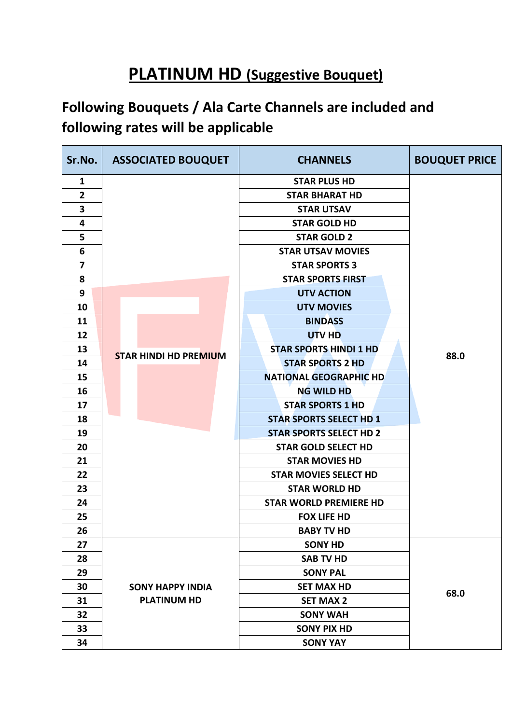## **PLATINUM HD (Suggestive Bouquet)**

## **Following Bouquets / Ala Carte Channels are included and following rates will be applicable**

| Sr.No.                  | <b>ASSOCIATED BOUQUET</b>    | <b>CHANNELS</b>                | <b>BOUQUET PRICE</b> |
|-------------------------|------------------------------|--------------------------------|----------------------|
| $\mathbf{1}$            |                              | <b>STAR PLUS HD</b>            |                      |
| $\overline{2}$          |                              | <b>STAR BHARAT HD</b>          |                      |
| 3                       |                              | <b>STAR UTSAV</b>              |                      |
| 4                       |                              | <b>STAR GOLD HD</b>            |                      |
| 5                       |                              | <b>STAR GOLD 2</b>             |                      |
| 6                       |                              | <b>STAR UTSAV MOVIES</b>       |                      |
| $\overline{\mathbf{z}}$ |                              | <b>STAR SPORTS 3</b>           |                      |
| 8                       |                              | <b>STAR SPORTS FIRST</b>       |                      |
| 9                       |                              | <b>UTV ACTION</b>              |                      |
| 10                      |                              | <b>UTV MOVIES</b>              |                      |
| 11                      |                              | <b>BINDASS</b>                 |                      |
| 12                      |                              | <b>UTV HD</b>                  |                      |
| 13                      | <b>STAR HINDI HD PREMIUM</b> | <b>STAR SPORTS HINDI 1 HD</b>  |                      |
| 14                      |                              | <b>STAR SPORTS 2 HD</b>        | 88.0                 |
| 15                      |                              | <b>NATIONAL GEOGRAPHIC HD</b>  |                      |
| 16                      |                              | <b>NG WILD HD</b>              |                      |
| 17                      |                              | <b>STAR SPORTS 1 HD</b>        |                      |
| 18                      |                              | <b>STAR SPORTS SELECT HD 1</b> |                      |
| 19                      |                              | <b>STAR SPORTS SELECT HD 2</b> |                      |
| 20                      |                              | <b>STAR GOLD SELECT HD</b>     |                      |
| 21                      |                              | <b>STAR MOVIES HD</b>          |                      |
| 22                      |                              | <b>STAR MOVIES SELECT HD</b>   |                      |
| 23                      |                              | <b>STAR WORLD HD</b>           |                      |
| 24                      |                              | <b>STAR WORLD PREMIERE HD</b>  |                      |
| 25                      |                              | <b>FOX LIFE HD</b>             |                      |
| 26                      |                              | <b>BABY TV HD</b>              |                      |
| 27                      |                              | <b>SONY HD</b>                 |                      |
| 28                      |                              | <b>SAB TV HD</b>               |                      |
| 29                      |                              | <b>SONY PAL</b>                |                      |
| 30                      | <b>SONY HAPPY INDIA</b>      | <b>SET MAX HD</b>              |                      |
| 31                      | <b>PLATINUM HD</b>           | <b>SET MAX 2</b>               | 68.0                 |
| 32                      |                              | <b>SONY WAH</b>                |                      |
| 33                      |                              | <b>SONY PIX HD</b>             |                      |
| 34                      |                              | <b>SONY YAY</b>                |                      |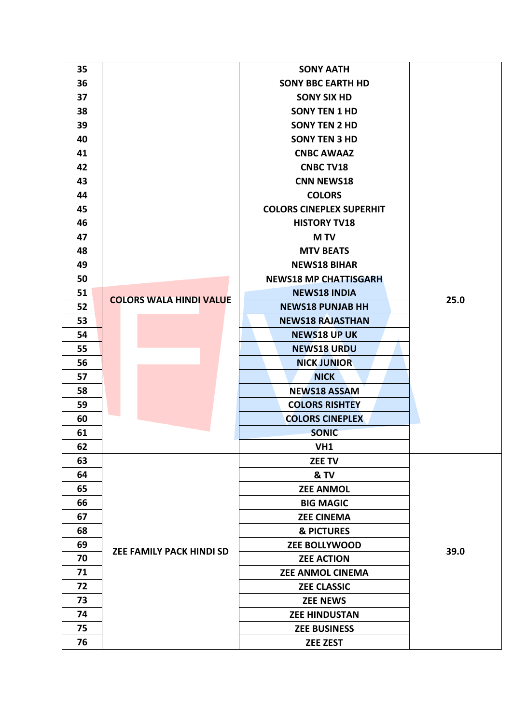| 35 |                                 | <b>SONY AATH</b>                |      |
|----|---------------------------------|---------------------------------|------|
| 36 |                                 | <b>SONY BBC EARTH HD</b>        |      |
| 37 |                                 | <b>SONY SIX HD</b>              |      |
| 38 |                                 | <b>SONY TEN 1 HD</b>            |      |
| 39 |                                 | <b>SONY TEN 2 HD</b>            |      |
| 40 |                                 | <b>SONY TEN 3 HD</b>            |      |
| 41 |                                 | <b>CNBC AWAAZ</b>               |      |
| 42 |                                 | <b>CNBC TV18</b>                |      |
| 43 |                                 | <b>CNN NEWS18</b>               |      |
| 44 |                                 | <b>COLORS</b>                   |      |
| 45 |                                 | <b>COLORS CINEPLEX SUPERHIT</b> |      |
| 46 |                                 | <b>HISTORY TV18</b>             |      |
| 47 |                                 | <b>MTV</b>                      |      |
| 48 |                                 | <b>MTV BEATS</b>                |      |
| 49 |                                 | <b>NEWS18 BIHAR</b>             |      |
| 50 |                                 | <b>NEWS18 MP CHATTISGARH</b>    |      |
| 51 |                                 | <b>NEWS18 INDIA</b>             |      |
| 52 | <b>COLORS WALA HINDI VALUE</b>  | <b>NEWS18 PUNJAB HH</b>         | 25.0 |
| 53 |                                 | <b>NEWS18 RAJASTHAN</b>         |      |
| 54 |                                 | <b>NEWS18 UP UK</b>             |      |
| 55 |                                 | <b>NEWS18 URDU</b>              |      |
| 56 |                                 | <b>NICK JUNIOR</b>              |      |
| 57 |                                 | <b>NICK</b>                     |      |
| 58 |                                 | <b>NEWS18 ASSAM</b>             |      |
| 59 |                                 | <b>COLORS RISHTEY</b>           |      |
| 60 |                                 | <b>COLORS CINEPLEX</b>          |      |
| 61 |                                 | <b>SONIC</b>                    |      |
| 62 |                                 | VH1                             |      |
| 63 |                                 | <b>ZEE TV</b>                   |      |
| 64 |                                 | & TV                            |      |
| 65 |                                 | <b>ZEE ANMOL</b>                |      |
| 66 |                                 | <b>BIG MAGIC</b>                |      |
| 67 |                                 | <b>ZEE CINEMA</b>               |      |
| 68 |                                 | <b>&amp; PICTURES</b>           |      |
| 69 | <b>ZEE FAMILY PACK HINDI SD</b> | <b>ZEE BOLLYWOOD</b>            | 39.0 |
| 70 |                                 | <b>ZEE ACTION</b>               |      |
| 71 |                                 | <b>ZEE ANMOL CINEMA</b>         |      |
| 72 |                                 | <b>ZEE CLASSIC</b>              |      |
| 73 |                                 | <b>ZEE NEWS</b>                 |      |
| 74 |                                 | <b>ZEE HINDUSTAN</b>            |      |
| 75 |                                 | <b>ZEE BUSINESS</b>             |      |
| 76 |                                 | <b>ZEE ZEST</b>                 |      |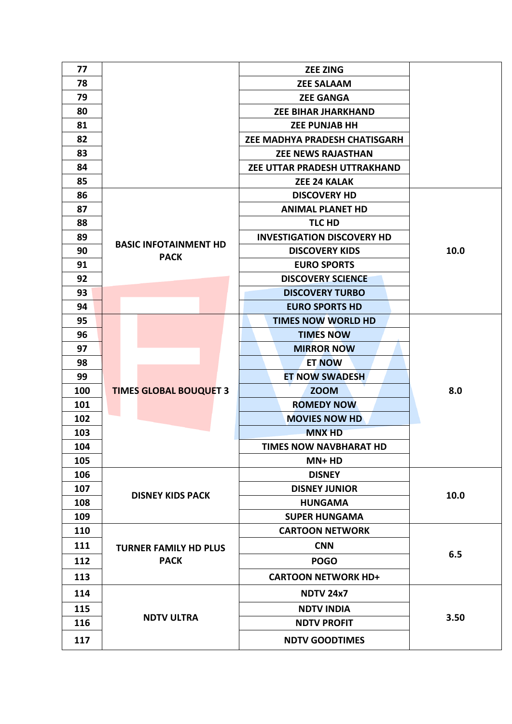| 77  |                               | <b>ZEE ZING</b>                   |      |
|-----|-------------------------------|-----------------------------------|------|
| 78  |                               | <b>ZEE SALAAM</b>                 |      |
| 79  |                               | <b>ZEE GANGA</b>                  |      |
| 80  |                               | <b>ZEE BIHAR JHARKHAND</b>        |      |
| 81  |                               | <b>ZEE PUNJAB HH</b>              |      |
| 82  |                               | ZEE MADHYA PRADESH CHATISGARH     |      |
| 83  |                               | <b>ZEE NEWS RAJASTHAN</b>         |      |
| 84  |                               | ZEE UTTAR PRADESH UTTRAKHAND      |      |
| 85  |                               | <b>ZEE 24 KALAK</b>               |      |
| 86  |                               | <b>DISCOVERY HD</b>               |      |
| 87  |                               | <b>ANIMAL PLANET HD</b>           |      |
| 88  |                               | <b>TLC HD</b>                     |      |
| 89  |                               | <b>INVESTIGATION DISCOVERY HD</b> |      |
| 90  | <b>BASIC INFOTAINMENT HD</b>  | <b>DISCOVERY KIDS</b>             | 10.0 |
| 91  | <b>PACK</b>                   | <b>EURO SPORTS</b>                |      |
| 92  |                               | <b>DISCOVERY SCIENCE</b>          |      |
| 93  |                               | <b>DISCOVERY TURBO</b>            |      |
| 94  |                               | <b>EURO SPORTS HD</b>             |      |
| 95  |                               | <b>TIMES NOW WORLD HD</b>         |      |
| 96  |                               | <b>TIMES NOW</b>                  |      |
| 97  |                               | <b>MIRROR NOW</b>                 |      |
| 98  |                               | <b>ET NOW</b>                     |      |
| 99  |                               | <b>ET NOW SWADESH</b>             |      |
| 100 | <b>TIMES GLOBAL BOUQUET 3</b> | <b>ZOOM</b>                       | 8.0  |
| 101 |                               | <b>ROMEDY NOW</b>                 |      |
| 102 |                               | <b>MOVIES NOW HD</b>              |      |
| 103 |                               | <b>MNX HD</b>                     |      |
| 104 |                               | <b>TIMES NOW NAVBHARAT HD</b>     |      |
| 105 |                               | MN+HD                             |      |
| 106 |                               | <b>DISNEY</b>                     |      |
| 107 |                               | <b>DISNEY JUNIOR</b>              |      |
| 108 | <b>DISNEY KIDS PACK</b>       | <b>HUNGAMA</b>                    | 10.0 |
| 109 |                               | <b>SUPER HUNGAMA</b>              |      |
| 110 |                               | <b>CARTOON NETWORK</b>            |      |
| 111 | <b>TURNER FAMILY HD PLUS</b>  | <b>CNN</b>                        |      |
| 112 | <b>PACK</b>                   | <b>POGO</b>                       | 6.5  |
| 113 |                               | <b>CARTOON NETWORK HD+</b>        |      |
| 114 |                               | <b>NDTV 24x7</b>                  |      |
| 115 | <b>NDTV ULTRA</b>             | <b>NDTV INDIA</b>                 |      |
| 116 |                               | <b>NDTV PROFIT</b>                | 3.50 |
| 117 |                               | <b>NDTV GOODTIMES</b>             |      |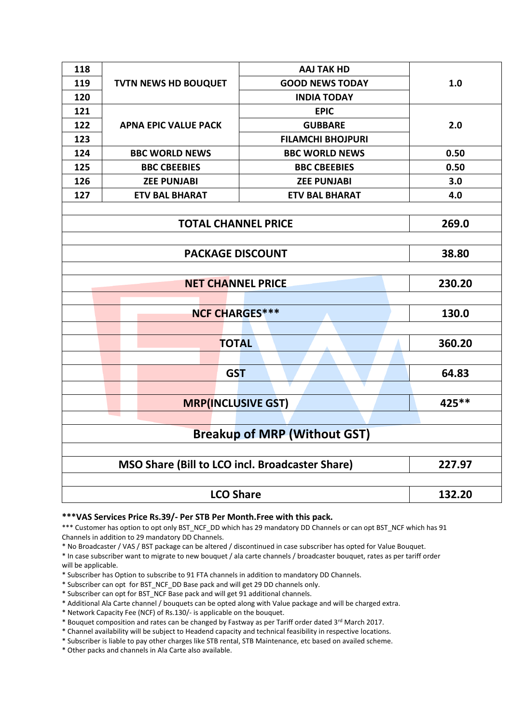| 118                        |                             | <b>AAJ TAK HD</b>        |        |  |  |
|----------------------------|-----------------------------|--------------------------|--------|--|--|
| 119                        | <b>TVTN NEWS HD BOUQUET</b> | <b>GOOD NEWS TODAY</b>   | 1.0    |  |  |
| 120                        |                             | <b>INDIA TODAY</b>       |        |  |  |
| 121                        |                             | <b>EPIC</b>              |        |  |  |
| 122                        | <b>APNA EPIC VALUE PACK</b> | <b>GUBBARE</b>           | 2.0    |  |  |
| 123                        |                             | <b>FILAMCHI BHOJPURI</b> |        |  |  |
| 124                        | <b>BBC WORLD NEWS</b>       | <b>BBC WORLD NEWS</b>    | 0.50   |  |  |
| 125                        | <b>BBC CBEEBIES</b>         | <b>BBC CBEEBIES</b>      | 0.50   |  |  |
| 126                        | <b>ZEE PUNJABI</b>          | <b>ZEE PUNJABI</b>       | 3.0    |  |  |
| 127                        | <b>ETV BAL BHARAT</b>       | <b>ETV BAL BHARAT</b>    | 4.0    |  |  |
|                            |                             |                          |        |  |  |
| <b>TOTAL CHANNEL PRICE</b> |                             |                          | 269.0  |  |  |
|                            |                             |                          |        |  |  |
| <b>PACKAGE DISCOUNT</b>    |                             |                          | 38.80  |  |  |
|                            |                             |                          |        |  |  |
| <b>NET CHANNEL PRICE</b>   |                             |                          | 230.20 |  |  |
|                            |                             |                          |        |  |  |
| <b>NCF CHARGES***</b>      |                             | 130.0                    |        |  |  |
|                            |                             |                          |        |  |  |
|                            | <b>TOTAL</b>                |                          | 360.20 |  |  |
|                            |                             |                          |        |  |  |
|                            | <b>GST</b>                  |                          | 64.83  |  |  |
|                            |                             |                          |        |  |  |
| <b>MRP(INCLUSIVE GST)</b>  |                             |                          | 425 ** |  |  |

## **Breakup of MRP (Without GST)**

| MSO Share (Bill to LCO incl. Broadcaster Share) | 227.97 |
|-------------------------------------------------|--------|
|                                                 |        |
| <b>LCO Share</b>                                | 132.20 |

## **\*\*\*VAS Services Price Rs.39/- Per STB Per Month.Free with this pack.**

\*\*\* Customer has option to opt only BST\_NCF\_DD which has 29 mandatory DD Channels or can opt BST\_NCF which has 91 Channels in addition to 29 mandatory DD Channels.

\* No Broadcaster / VAS / BST package can be altered / discontinued in case subscriber has opted for Value Bouquet.

\* In case subscriber want to migrate to new bouquet / ala carte channels / broadcaster bouquet, rates as per tariff order will be applicable.

\* Subscriber has Option to subscribe to 91 FTA channels in addition to mandatory DD Channels.

\* Subscriber can opt for BST\_NCF\_DD Base pack and will get 29 DD channels only.

\* Subscriber can opt for BST\_NCF Base pack and will get 91 additional channels.

\* Additional Ala Carte channel / bouquets can be opted along with Value package and will be charged extra.

\* Network Capacity Fee (NCF) of Rs.130/- is applicable on the bouquet.

\* Bouquet composition and rates can be changed by Fastway as per Tariff order dated 3rd March 2017.

\* Channel availability will be subject to Headend capacity and technical feasibility in respective locations.

\* Subscriber is liable to pay other charges like STB rental, STB Maintenance, etc based on availed scheme.

\* Other packs and channels in Ala Carte also available.